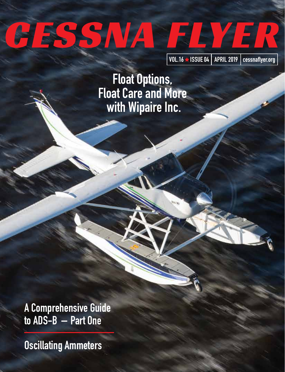# GESSNA FLYER

VOL.16 & ISSUE 04 APRIL 2019 cessnaflyer.org

Float Options, Float Care and More with Wipaire Inc.

A Comprehensive Guide to ADS-B – Part One

Oscillating Ammeters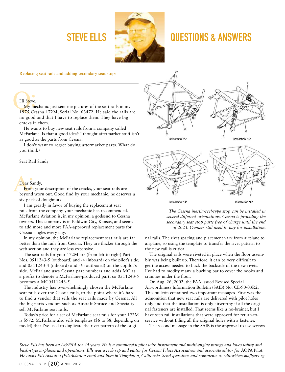

# STEVE ELLS **CONTROLLER AND ALL STEVE ELLS**

**Replacing seat rails and adding secondary seat stops**

# Hi Steve,

My mechanic just sent me pictures of the seat rails in my 1975 Cessna 172M, Serial No. 63472. He said the rails are no good and that I have to replace them. They have big cracks in them.

He wants to buy new seat rails from a company called McFarlane. Is that a good idea? I thought aftermarket stuff isn't as good as the parts from Cessna.

I don't want to regret buying aftermarket parts. What do you think?

Seat Rail Sandy

# Dear Sandy,

From your description of the cracks, your seat rails are beyond worn out. Good find by your mechanic; he deserves a six-pack of doughnuts.

I am greatly in favor of buying the replacement seat rails from the company your mechanic has recommended. McFarlane Aviation is, in my opinion, a godsend to Cessna owners. This company is in Baldwin City, Kansas, and seems to add more and more FAA-approved replacement parts for Cessna singles every day.

In my opinion, the McFarlane replacement seat rails are far better than the rails from Cessna. They are thicker through the web section and they are less expensive.

The seat rails for your 172M are (from left to right) Part Nos. 0511243-5 (outboard) and -4 (inboard) on the pilot's side; and 0511243-4 (inboard) and -6 (outboard) on the copilot's side. McFarlane uses Cessna part numbers and adds MC as a prefix to denote a McFarlane-produced part, so 0511243-5 becomes a MC0511243-5.

The industry has overwhelmingly chosen the McFarlane seat rails over the Cessna rails, to the point where it's hard to find a vendor that sells the seat rails made by Cessna. All the big parts vendors such as Aircraft Spruce and Specialty sell McFarlane seat rails.

Today's price for a set of McFarlane seat rails for your 172M is \$972. McFarlane also sells templates (\$6 to \$8, depending on model) that I've used to duplicate the rivet pattern of the origi-



*The Cessna inertia-reel-type stop can be installed in several different orientations. Cessna is providing the secondary seat stop parts free of charge until the end of 2023. Owners still need to pay for installation.* 

nal rails. The rivet spacing and placement vary from airplane to airplane, so using the template to transfer the rivet pattern to the new rail is critical.

The original rails were riveted in place when the floor assembly was being built up. Therefore, it can be very difficult to get the access needed to buck the backside of the new rivets. I've had to modify many a bucking bar to cover the nooks and crannies under the floor.

On Aug. 26, 2002, the FAA issued Revised Special Airworthiness Information Bulletin (SAIB) No. CE-90-03R2. This bulletin contained two important messages. First was the admonition that new seat rails are delivered with pilot holes only and that the installation is only airworthy if all the original fasteners are installed. That seems like a no-brainer, but I have seen rail installations that were approved for return-toservice without filling all the original holes with a fastener.

The second message in the SAIB is the approval to use screws

*Steve Ells has been an A&P/IA for 44 years. He is a commercial pilot with instrument and multi-engine ratings and loves utility and bush-style airplanes and operations. Ells was a tech rep and editor for Cessna Pilots Association and associate editor for* AOPA Pilot*. He owns Ells Aviation (EllsAviation.com) and lives in Templeton, California. Send questions and comments to editor@cessnaflyer.org.*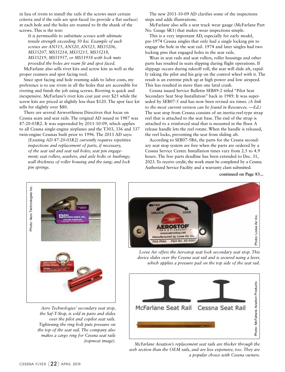in lieu of rivets to install the rails if the screws meet certain criteria and if the rails are spot-faced (to provide a flat surface) at each hole and the holes are reamed to fit the shank of the screws. This is the text:

*It is permissible to substitute screws with ultimate tensile strength exceeding 50 ksi. Example of such screws are AN515, AN520, AN525, MS35206, MS35207, MS35214, MS35215, MS35218, MS35219, MS51957, or MS51958 with lock nuts provided the holes are ream fit and spot faced.*

McFarlane also sells rivet kits and screw kits as well as the proper reamers and spot facing tool.

Since spot facing and hole reaming adds to labor costs, my preference is to use rivets in all the holes that are accessible for riveting and finish the job using screws. Riveting is quick and inexpensive. McFarlane's rivet kits cost just over \$25 while the screw kits are priced at slightly less than \$120. The spot face kit sells for slightly over \$80.

There are several Airworthiness Directives that focus on Cessna seats and seat rails. The original AD issued in 1987 was 87-20-03R2. It was superseded by 2011-10-09, which applies to all Cessna single-engine airplanes and the T303, 336 and 337 twin-engine Cessnas built prior to 1996. The 2011 AD says:

*[Existing AD 87-20-03R2] currently requires repetitive inspections and replacement of parts, if necessary, of the seat rail and seat rail holes; seat pin engagement; seat rollers, washers, and axle bolts or bushings; wall thickness of roller housing and the tang; and lock pin springs.* 

The new 2011-10-09 AD clarifies some of the inspections steps and adds illustrations.

McFarlane also sells a seat track wear gauge (McFarlane Part No. Gauge SR1) that makes wear inspections simple.

This is a very important AD, especially for early model, pre-1974 Cessna singles that only had a single locking pin to engage the hole in the seat rail. 1974 and later singles had two locking pins that engaged holes in the seat rails.

Wear in seat rails and seat rollers, roller housings and other parts has resulted in seats slipping during flight operations. If slippage occurs during takeoff roll, the seat will slide aft, rapidly taking the pilot and his grip on the control wheel with it. The result is an extreme pitch up at high power and low airspeed. This has resulted in more than one fatal crash.

Cessna issued Service Bulletin SEB89-2 titled "Pilot Seat Secondary Seat Stop Installation" back in 1989. It was superseded by SEB07-5 and has now been revised six times. *(A link to the most current version can be found in Resources. —Ed.)* The seat stop from Cessna consists of an inertia-reel-type strap reel that is attached to the seat base. The end of the strap is attached to a reinforced stud that is mounted in the floor. A release handle lets the reel rotate. When the handle is released, the reel locks, preventing the seat from sliding aft.

According to SEB07-5R6, the parts for the Cessna secondary seat stop system are free when the parts are ordered by a Cessna Service Center. Installation times vary from 2.5 to 4.9 hours. The free parts deadline has been extended to Dec. 31, 2023. To receive credit, the work must be completed by a Cessna Authorized Service Facility and a warranty clam submitted.

**continued on Page 83...**



*Aero Technologies' secondary seat stop, the Saf-T-Stop, is sold in pairs and slides over the pilot and copilot seat rails. Tightening the ring bolt puts pressure on the top of the seat rail. The company also makes a cargo ring for Cessna seat rails (topmost image).* 



*Loree Air offers the Aerostop seat lock secondary seat stop. This device slides over the Cessna seat rail and is secured using a lever, which applies a pressure pad on the top side of the seat rail.* 



*McFarlane Aviation's replacement seat rails are thicker through the web section than the OEM rails, and are less expensive, too. They are a popular choice with Cessna owners.*